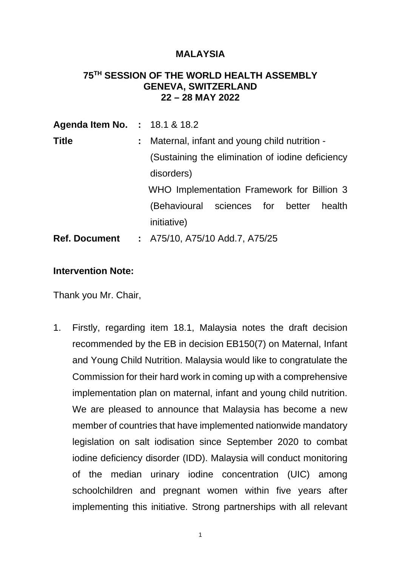## **MALAYSIA**

## **75TH SESSION OF THE WORLD HEALTH ASSEMBLY GENEVA, SWITZERLAND 22 – 28 MAY 2022**

| <b>Agenda Item No. : 18.1 &amp; 18.2</b> |    |                                                  |
|------------------------------------------|----|--------------------------------------------------|
| <b>Title</b>                             | t. | Maternal, infant and young child nutrition -     |
|                                          |    | (Sustaining the elimination of iodine deficiency |
|                                          |    | disorders)                                       |
|                                          |    | WHO Implementation Framework for Billion 3       |
|                                          |    | (Behavioural sciences for better<br>health       |
|                                          |    | <i>initiative)</i>                               |
| <b>Ref. Document</b>                     |    | $\pm$ A75/10, A75/10 Add.7, A75/25               |

## **Intervention Note:**

Thank you Mr. Chair,

1. Firstly, regarding item 18.1, Malaysia notes the draft decision recommended by the EB in decision EB150(7) on Maternal, Infant and Young Child Nutrition. Malaysia would like to congratulate the Commission for their hard work in coming up with a comprehensive implementation plan on maternal, infant and young child nutrition. We are pleased to announce that Malaysia has become a new member of countries that have implemented nationwide mandatory legislation on salt iodisation since September 2020 to combat iodine deficiency disorder (IDD). Malaysia will conduct monitoring of the median urinary iodine concentration (UIC) among schoolchildren and pregnant women within five years after implementing this initiative. Strong partnerships with all relevant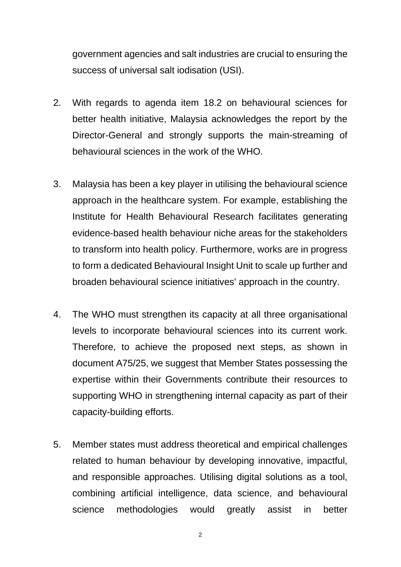government agencies and salt industries are crucial to ensuring the success of universal salt iodisation (USI).

- 2. With regards to agenda item 18.2 on behavioural sciences for better health initiative, Malaysia acknowledges the report by the Director-General and strongly supports the main-streaming of behavioural sciences in the work of the WHO.
- 3. Malaysia has been a key player in utilising the behavioural science approach in the healthcare system. For example, establishing the Institute for Health Behavioural Research facilitates generating evidence-based health behaviour niche areas for the stakeholders to transform into health policy. Furthermore, works are in progress to form a dedicated Behavioural Insight Unit to scale up further and broaden behavioural science initiatives' approach in the country.
- 4. The WHO must strengthen its capacity at all three organisational levels to incorporate behavioural sciences into its current work. Therefore, to achieve the proposed next steps, as shown in document A75/25, we suggest that Member States possessing the expertise within their Governments contribute their resources to supporting WHO in strengthening internal capacity as part of their capacity-building efforts.
- 5. Member states must address theoretical and empirical challenges related to human behaviour by developing innovative, impactful, and responsible approaches. Utilising digital solutions as a tool, combining artificial intelligence, data science, and behavioural science methodologies would greatly assist in better

2